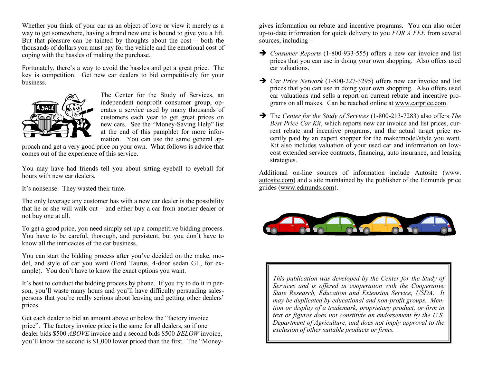Whether you think of your car as an object of love or view it merely as a way to get somewhere, having a brand new one is bound to give you a lift. But that pleasure can be tainted by thoughts about the cost – both the thousands of dollars you must pay for the vehicle and the emotional cost of coping with the hassles of making the purchase.

Fortunately, there's a way to avoid the hassles and get a great price. The key is competition. Get new car dealers to bid competitively for your business.



The Center for the Study of Services, an independent nonprofit consumer group, operates a service used by many thousands of customers each year to get great prices on new cars. See the "Money-Saving Help" list at the end of this pamphlet for more information. You can use the same general ap-

proach and get a very good price on your own. What follows is advice that comes out of the experience of this service.

You may have had friends tell you about sitting eyeball to eyeball for hours with new car dealers.

It's nonsense. They wasted their time.

The only leverage any customer has with a new car dealer is the possibility that he or she will walk out – and either buy a car from another dealer or not buy one at all.

To get a good price, you need simply set up a competitive bidding process. You have to be careful, thorough, and persistent, but you don't have to know all the intricacies of the car business.

You can start the bidding process after you've decided on the make, model, and style of car you want (Ford Taurus, 4-door sedan GL, for example). You don't have to know the exact options you want.

It's best to conduct the bidding process by phone. If you try to do it in person, you'll waste many hours and you'll have difficulty persuading salespersons that you're really serious about leaving and getting other dealers' prices.

Get each dealer to bid an amount above or below the "factory invoice price". The factory invoice price is the same for all dealers, so if one dealer bids \$500 *ABOVE* invoice and a second bids \$500 *BELOW* invoice, you'll know the second is \$1,000 lower priced than the first. The "Moneygives information on rebate and incentive programs. You can also order up-to-date information for quick delivery to you *FOR A FEE* from several sources, including  $-$ 

- ➔ *Consumer Reports* (1-800-933-555) offers a new car invoice and list prices that you can use in doing your own shopping. Also offers used car valuations.
- ➔ *Car Price Network* (1-800-227-3295) offers new car invoice and list prices that you can use in doing your own shopping. Also offers used car valuations and sells a report on current rebate and incentive programs on all makes. Can be reached online at [www.carprice.com.](http://www.carprice.com/)
- ➔ The *Center for the Study of Services* (1-800-213-7283) also offers *The Best Price Car Kit*, which reports new car invoice and list prices, current rebate and incentive programs, and the actual target price recently paid by an expert shopper for the make/model/style you want. Kit also includes valuation of your used car and information on lowcost extended service contracts, financing, auto insurance, and leasing strategies.

Additional on-line sources of information include Autosite [\(www.](http://www.autosite.com/)  [autosite.com\)](http://www.autosite.com/) and a site maintained by the publisher of the Edmunds price guides [\(www.edmunds.com\)](http://www.edmunds.com/).



*This publication was developed by the Center for the Study of Services and is offered in cooperation with the Cooperative State Research, Education and Extension Service, USDA. It may be duplicated by educational and non-profit groups. Mention or display of a trademark, proprietary product, or firm in text or figures does not constitute an endorsement by the U.S. Department of Agriculture, and does not imply approval to the exclusion of other suitable products or firms.*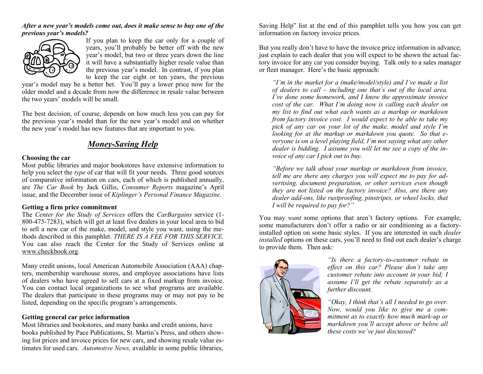## *After a new year's models come out, does it make sense to buy one of the previous year's models?*



If you plan to keep the car only for a couple of years, you'll probably be better off with the new year's model, but two or three years down the line it will have a substantially higher resale value than the previous year's model. In contrast, if you plan to keep the car eight or ten years, the previous

year's model may be a better bet. You'll pay a lower price now for the older model and a decade from now the difference in resale value between the two years' models will be small.

The best decision, of course, depends on how much less you can pay for the previous year's model than for the new year's model and on whether the new year's model has new features that are important to you.

# *Money-Saving Help*

## **Choosing the car**

Most public libraries and major bookstores have extensive information to help you select the *type* of car that will fit your needs. Three good sources of comparative information on cars, each of which is published annually, are *The Car Book* by Jack Gillis, *Consumer Reports* magazine's April issue, and the December issue of *Kiplinger's Personal Finance Magazine.*

## **Getting a firm price commitment**

The *Center for the Study of Services* offers the *CarBargains* service (1- 800-475-7283), which will get at least five dealers in your local area to bid to sell a new car of the make, model, and style you want, using the methods described in this pamphlet. *THERE IS A FEE FOR THIS SERVICE.* You can also reach the Center for the Study of Services online at [www.checkbook.org.](http://www.checkbook.org/)

Many credit unions, local American Automobile Association (AAA) chapters, membership warehouse stores, and employee associations have lists of dealers who have agreed to sell cars at a fixed markup from invoice. You can contact local organizations to see what programs are available. The dealers that participate in these programs may or may not pay to be listed, depending on the specific program's arrangements.

# **Getting general car price information**

Most libraries and bookstores, and many banks and credit unions, have books published by Pace Publications, St. Martin's Press, and others showing list prices and invoice prices for new cars, and showing resale value estimates for used cars. *Automotive News,* available in some public libraries,

Saving Help" list at the end of this pamphlet tells you how you can get information on factory invoice prices.

But you really don't have to have the invoice price information in advance; just explain to each dealer that you will expect to be shown the actual factory invoice for any car you consider buying. Talk only to a sales manager or fleet manager. Here's the basic approach:

*"I'm in the market for a (make/model/style) and I've made a list of dealers to call – including one that's out of the local area. I've done some homework, and I know the approximate invoice cost of the car. What I'm doing now is calling each dealer on my list to find out what each wants as a markup or markdown from factory invoice cost. I would expect to be able to take my pick of any car on your lot of the make, model and style I'm looking for at the markup or markdown you quote. So that everyone is on a level playing field, I'm not saying what any other dealer is bidding. I assume you will let me see a copy of the invoice of any car I pick out to buy.*

*"Before we talk about your markup or markdown from invoice, tell me are there any charges you will expect me to pay for advertising, document preparation, or other services even though they are not listed on the factory invoice? Also, are there any dealer add-ons, like rustproofing, pinstripes, or wheel locks, that I will be required to pay for?"*

You may *want* some options that aren't factory options. For example, some manufacturers don't offer a radio or air conditioning as a factoryinstalled option on some basic styles. If you are interested in such *dealer installed* options on these cars, you'll need to find out each dealer's charge to provide them. Then ask:



*"Is there a factory-to-customer rebate in effect on this car? Please don't take any customer rebate into account in your bid; I assume I'll get the rebate separately as a further discount.*

*"Okay, I think that's all I needed to go over. Now, would you like to give me a commitment as to exactly how much mark-up or markdown you'll accept above or below all these costs we've just discussed?*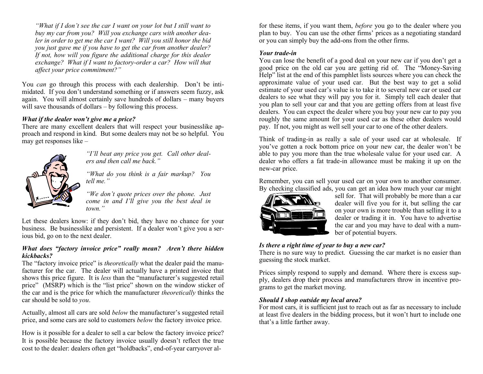*"What if I don't see the car I want on your lot but I still want to buy my car from you? Will you exchange cars with another dealer in order to get me the car I want? Will you still honor the bid you just gave me if you have to get the car from another dealer? If not, how will you figure the additional charge for this dealer exchange? What if I want to factory-order a car? How will that affect your price commitment?"*

You *can* go through this process with each dealership. Don't be intimidated. If you don't understand something or if answers seem fuzzy, ask again. You will almost certainly save hundreds of dollars – many buyers will save thousands of dollars – by following this process.

## *What if the dealer won't give me a price?*

There are many excellent dealers that will respect your businesslike approach and respond in kind. But some dealers may not be so helpful. You may get responses like –



*"I'll beat any price you get. Call other dealers and then call me back."*

*"What do you think is a fair markup? You tell me."*

*"We don't quote prices over the phone. Just come in and I'll give you the best deal in town."*

Let these dealers know: if they don't bid, they have no chance for your business. Be businesslike and persistent. If a dealer won't give you a serious bid, go on to the next dealer.

## *What does "factory invoice price" really mean? Aren't there hidden kickbacks?*

The "factory invoice price" is *theoretically* what the dealer paid the manufacturer for the car. The dealer will actually have a printed invoice that shows this price figure. It is *less* than the "manufacturer's suggested retail price" (MSRP) which is the "list price" shown on the window sticker of the car and is the price for which the manufacturer *theoretically* thinks the car should be sold to *you*.

Actually, almost all cars are sold *below* the manufacturer's suggested retail price, and some cars are sold to customers *below* the factory invoice price.

How is it possible for a dealer to sell a car below the factory invoice price? It is possible because the factory invoice usually doesn't reflect the true cost to the dealer: dealers often get "holdbacks", end-of-year carryover alfor these items, if you want them, *before* you go to the dealer where you plan to buy. You can use the other firms' prices as a negotiating standard or you can simply buy the add-ons from the other firms.

#### *Your trade-in*

You can lose the benefit of a good deal on your new car if you don't get a good price on the old car you are getting rid of. The "Money-Saving Help" list at the end of this pamphlet lists sources where you can check the approximate value of your used car. But the best way to get a solid estimate of your used car's value is to take it to several new car or used car dealers to see what they will pay you for it. Simply tell each dealer that you plan to sell your car and that you are getting offers from at least five dealers. You can expect the dealer where you buy your new car to pay you roughly the same amount for your used car as these other dealers would pay. If not, you might as well sell your car to one of the other dealers.

Think of trading-in as really a sale of your used car at wholesale. If you've gotten a rock bottom price on your new car, the dealer won't be able to pay you more than the true wholesale value for your used car. A dealer who offers a fat trade-in allowance must be making it up on the new-car price.

Remember, you can sell your used car on your own to another consumer. By checking classified ads, you can get an idea how much your car might



sell for. That will probably be more than a car dealer will five you for it, but selling the car on your own is more trouble than selling it to a dealer or trading it in. You have to advertise the car and you may have to deal with a number of potential buyers.

# *Is there a right time of year to buy a new car?*

There is no sure way to predict. Guessing the car market is no easier than guessing the stock market.

Prices simply respond to supply and demand. Where there is excess supply, dealers drop their process and manufacturers throw in incentive programs to get the market moving.

## *Should I shop outside my local area?*

For most cars, it is sufficient just to reach out as far as necessary to include at least five dealers in the bidding process, but it won't hurt to include one that's a little farther away.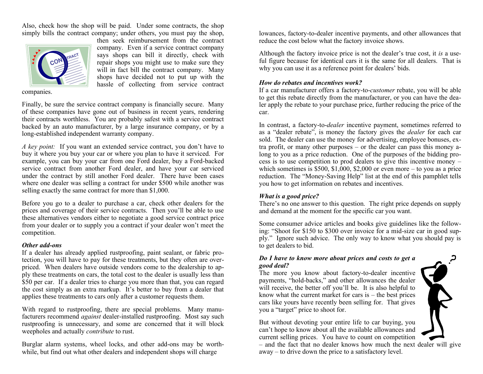Also, check how the shop will be paid. Under some contracts, the shop simply bills the contract company; under others, you must pay the shop,



then seek reimbursement from the contract company. Even if a service contract company says shops can bill it directly, check with repair shops you might use to make sure they will in fact bill the contract company. Many shops have decided not to put up with the hassle of collecting from service contract

companies.

Finally, be sure the service contract company is financially secure. Many of these companies have gone out of business in recent years, rendering their contracts worthless. You are probably safest with a service contract backed by an auto manufacturer, by a large insurance company, or by a long-established independent warranty company.

*A key point:* If you want an extended service contract, you don't have to buy it where you buy your car or where you plan to have it serviced. For example, you can buy your car from one Ford dealer, buy a Ford-backed service contract from another Ford dealer, and have your car serviced under the contract by still another Ford dealer. There have been cases where one dealer was selling a contract for under \$500 while another was selling exactly the same contract for more than \$1,000.

Before you go to a dealer to purchase a car, check other dealers for the prices and coverage of their service contracts. Then you'll be able to use these alternatives vendors either to negotiate a good service contract price from your dealer or to supply you a contract if your dealer won't meet the competition.

#### *Other add-ons*

If a dealer has already applied rustproofing, paint sealant, or fabric protection, you will have to pay for these treatments, but they often are overpriced. When dealers have outside vendors come to the dealership to apply these treatments on cars, the total cost to the dealer is usually less than \$50 per car. If a dealer tries to charge you more than that, you can regard the cost simply as an extra markup. It's better to buy from a dealer that applies these treatments to cars only after a customer requests them.

With regard to rustproofing, there are special problems. Many manufacturers recommend *against* dealer-installed rustproofing. Most say such rustproofing is unnecessary, and some are concerned that it will block weepholes and actually *contribute* to rust.

Burglar alarm systems, wheel locks, and other add-ons may be worthwhile, but find out what other dealers and independent shops will charge

lowances, factory-to-dealer incentive payments, and other allowances that reduce the cost below what the factory invoice shows.

Although the factory invoice price is not the dealer's true cost, it *is* a useful figure because for identical cars it is the same for all dealers. That is why you can use it as a reference point for dealers' bids.

## *How do rebates and incentives work?*

If a car manufacturer offers a factory-to-*customer* rebate, you will be able to get this rebate directly from the manufacturer, or you can have the dealer apply the rebate to your purchase price, further reducing the price of the car.

In contrast, a factory-to-*dealer* incentive payment, sometimes referred to as a "dealer rebate", is money the factory gives the *dealer* for each car sold. The dealer can use the money for advertising, employee bonuses, extra profit, or many other purposes – or the dealer can pass this money along to you as a price reduction. One of the purposes of the bidding process is to use competition to prod dealers to give this incentive money – which sometimes is  $$500, $1,000, $2,000$  or even more – to you as a price reduction. The "Money-Saving Help" list at the end of this pamphlet tells you how to get information on rebates and incentives.

## *What is a good price?*

There's no one answer to this question. The right price depends on supply and demand at the moment for the specific car you want.

Some consumer advice articles and books give guidelines like the following: "Shoot for \$150 to \$300 over invoice for a mid-size car in good supply." Ignore such advice. The only way to know what you should pay is to get dealers to bid.

## *Do I have to know more about prices and costs to get a good deal?*

The more you know about factory-to-dealer incentive payments, "hold-backs," and other allowances the dealer will receive, the better off you'll be. It is also helpful to know what the current market for cars is – the best prices cars like yours have recently been selling for. That gives you a "target" price to shoot for.

But without devoting your entire life to car buying, you can't hope to know about all the available allowances and current selling prices. You have to count on competition

– and the fact that no dealer knows how much the next dealer will give away – to drive down the price to a satisfactory level.

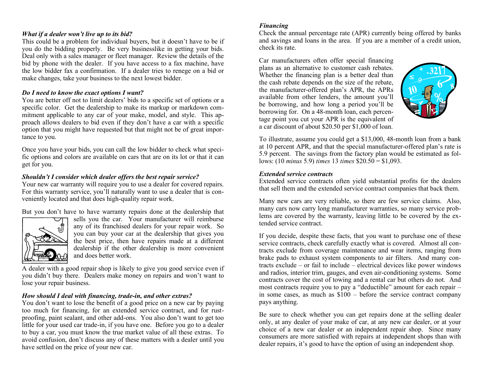## *What if a dealer won't live up to its bid?*

This could be a problem for individual buyers, but it doesn't have to be if you do the bidding properly. Be very businesslike in getting your bids. Deal only with a sales manager or fleet manager. Review the details of the bid by phone with the dealer. If you have access to a fax machine, have the low bidder fax a confirmation. If a dealer tries to renege on a bid or make changes, take your business to the next lowest bidder.

#### *Do I need to know the exact options I want?*

You are better off not to limit dealers' bids to a specific set of options or a specific color. Get the dealership to make its markup or markdown commitment applicable to any car of your make, model, and style. This approach allows dealers to bid even if they don't have a car with a specific option that you might have requested but that might not be of great importance to you.

Once you have your bids, you can call the low bidder to check what specific options and colors are available on cars that are on its lot or that it can get for you.

## *Shouldn't I consider which dealer offers the best repair service?*

Your new car warranty will require you to use a dealer for covered repairs. For this warranty service, you'll naturally want to use a dealer that is conveniently located and that does high-quality repair work.

But you don't have to have warranty repairs done at the dealership that



sells you the car. Your manufacturer will reimburse any of its franchised dealers for your repair work. So you can buy your car at the dealership that gives you the best price, then have repairs made at a different dealership if the other dealership is more convenient and does better work.

A dealer with a good repair shop is likely to give you good service even if you didn't buy there. Dealers make money on repairs and won't want to lose your repair business.

#### *How should I deal with financing, trade-in, and other extras?*

You don't want to lose the benefit of a good price on a new car by paying too much for financing, for an extended service contract, and for rustproofing, paint sealant, and other add-ons. You also don't want to get too little for your used car trade-in, if you have one. Before you go to a dealer to buy a car, you must know the true market value of all these extras. To avoid confusion, don't discuss any of these matters with a dealer until you have settled on the price of your new car.

#### *Financing*

Check the annual percentage rate (APR) currently being offered by banks and savings and loans in the area. If you are a member of a credit union, check its rate.

Car manufacturers often offer special financing plans as an alternative to customer cash rebates. Whether the financing plan is a better deal than the cash rebate depends on the size of the rebate, the manufacturer-offered plan's APR, the APRs available from other lenders, the amount you'll be borrowing, and how long a period you'll be borrowing for. On a 48-month loan, each percentage point you cut your APR is the equivalent of a car discount of about \$20.50 per \$1,000 of loan.



To illustrate, assume you could get a \$13,000, 48-month loan from a bank at 10 percent APR, and that the special manufacturer-offered plan's rate is 5.9 percent. The savings from the factory plan would be estimated as follows: (10 *minus* 5.9) *times* 13 *times* \$20.50 = \$1,093.

#### *Extended service contracts*

Extended service contracts often yield substantial profits for the dealers that sell them and the extended service contract companies that back them.

Many new cars are very reliable, so there are few service claims. Also, many cars now carry long manufacturer warranties, so many service problems are covered by the warranty, leaving little to be covered by the extended service contract.

If you decide, despite these facts, that you want to purchase one of these service contracts, check carefully exactly what is covered. Almost all contracts exclude from coverage maintenance and wear items, ranging from brake pads to exhaust system components to air filters. And many contracts exclude – or fail to include – electrical devices like power windows and radios, interior trim, gauges, and even air-conditioning systems. Some contracts cover the cost of towing and a rental car but others do not. And most contracts require you to pay a "deductible" amount for each repair – in some cases, as much as  $\hat{100}$  – before the service contract company pays anything.

Be sure to check whether you can get repairs done at the selling dealer only, at any dealer of your make of car, at any new car dealer, or at your choice of a new car dealer or an independent repair shop. Since many consumers are more satisfied with repairs at independent shops than with dealer repairs, it's good to have the option of using an independent shop.